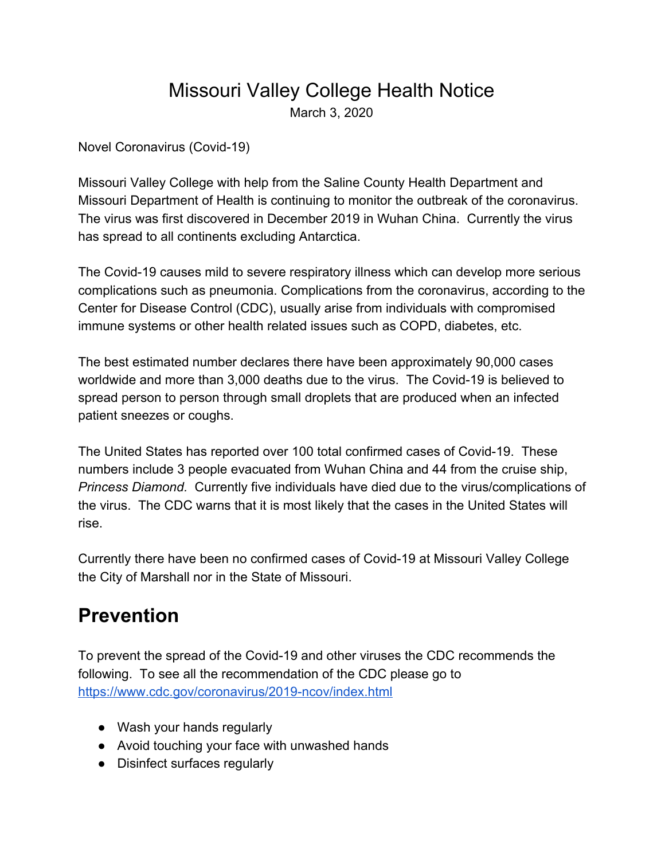## Missouri Valley College Health Notice

March 3, 2020

Novel Coronavirus (Covid-19)

Missouri Valley College with help from the Saline County Health Department and Missouri Department of Health is continuing to monitor the outbreak of the coronavirus. The virus was first discovered in December 2019 in Wuhan China. Currently the virus has spread to all continents excluding Antarctica.

The Covid-19 causes mild to severe respiratory illness which can develop more serious complications such as pneumonia. Complications from the coronavirus, according to the Center for Disease Control (CDC), usually arise from individuals with compromised immune systems or other health related issues such as COPD, diabetes, etc.

The best estimated number declares there have been approximately 90,000 cases worldwide and more than 3,000 deaths due to the virus. The Covid-19 is believed to spread person to person through small droplets that are produced when an infected patient sneezes or coughs.

The United States has reported over 100 total confirmed cases of Covid-19. These numbers include 3 people evacuated from Wuhan China and 44 from the cruise ship, *Princess Diamond.* Currently five individuals have died due to the virus/complications of the virus. The CDC warns that it is most likely that the cases in the United States will rise.

Currently there have been no confirmed cases of Covid-19 at Missouri Valley College the City of Marshall nor in the State of Missouri.

## **Prevention**

To prevent the spread of the Covid-19 and other viruses the CDC recommends the following. To see all the recommendation of the CDC please go to <https://www.cdc.gov/coronavirus/2019-ncov/index.html>

- Wash your hands regularly
- Avoid touching your face with unwashed hands
- Disinfect surfaces regularly